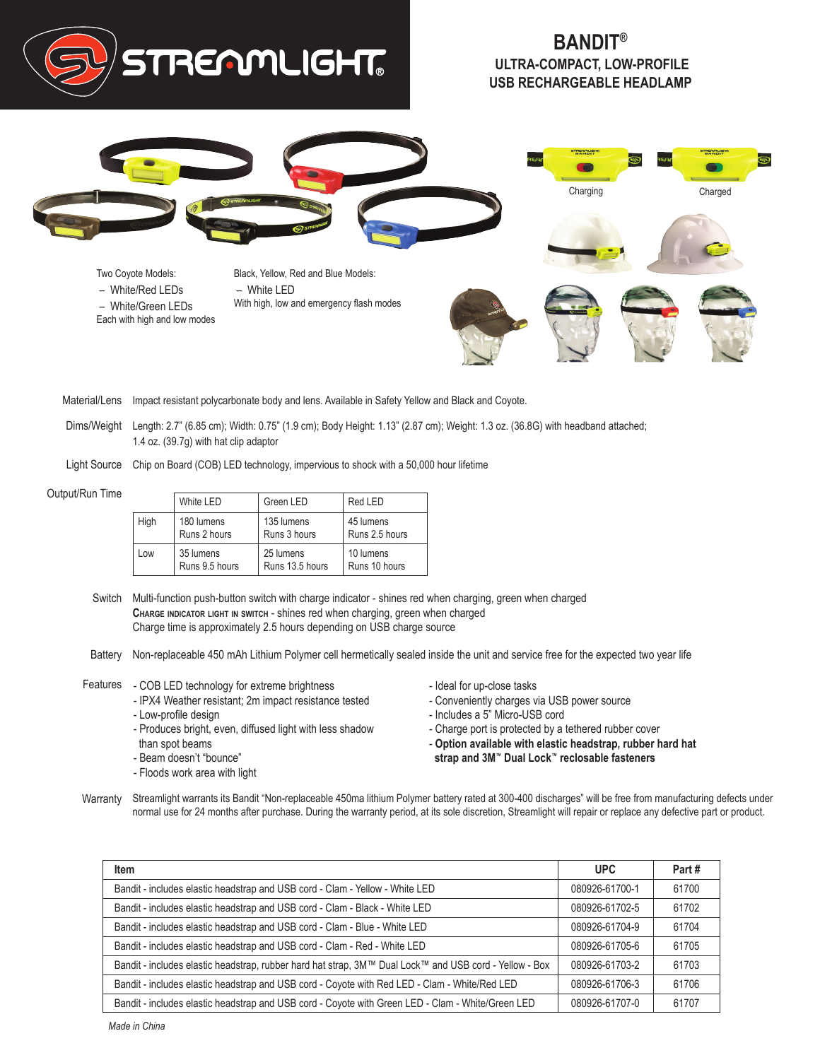

## **BANDIT® ULTRA-COMPACT, LOW-PROFILE USB RECHARGEABLE HEADLAMP**



Material/Lens Impact resistant polycarbonate body and lens. Available in Safety Yellow and Black and Coyote.

Dims/Weight Length: 2.7" (6.85 cm); Width: 0.75" (1.9 cm); Body Height: 1.13" (2.87 cm); Weight: 1.3 oz. (36.8G) with headband attached; 1.4 oz. (39.7g) with hat clip adaptor

Light Source Chip on Board (COB) LED technology, impervious to shock with a 50,000 hour lifetime

## Output/Run Time

|      | White LED      | Green LED       | Red LED        |
|------|----------------|-----------------|----------------|
| High | 180 lumens     | 135 lumens      | 45 lumens      |
|      | Runs 2 hours   | Runs 3 hours    | Runs 2.5 hours |
| l ow | 35 lumens      | 25 lumens       | 10 lumens      |
|      | Runs 9.5 hours | Runs 13.5 hours | Runs 10 hours  |

- Switch Multi-function push-button switch with charge indicator shines red when charging, green when charged **Charge indicator light in switch** - shines red when charging, green when charged Charge time is approximately 2.5 hours depending on USB charge source
- Battery Non-replaceable 450 mAh Lithium Polymer cell hermetically sealed inside the unit and service free for the expected two year life
- Features COB LED technology for extreme brightness
	- IPX4 Weather resistant; 2m impact resistance tested - Low-profile design
	-
	- Produces bright, even, diffused light with less shadow than spot beams
	- Beam doesn't "bounce"
	- Floods work area with light
- Ideal for up-close tasks
- Conveniently charges via USB power source
- Includes a 5" Micro-USB cord
- Charge port is protected by a tethered rubber cover
- **Option available with elastic headstrap, rubber hard hat strap and 3M™ Dual Lock™ reclosable fasteners**
- Warranty Streamlight warrants its Bandit "Non-replaceable 450ma lithium Polymer battery rated at 300-400 discharges" will be free from manufacturing defects under normal use for 24 months after purchase. During the warranty period, at its sole discretion, Streamlight will repair or replace any defective part or product.

| Item                                                                                                   | <b>UPC</b>     | Part# |
|--------------------------------------------------------------------------------------------------------|----------------|-------|
| Bandit - includes elastic headstrap and USB cord - Clam - Yellow - White LED                           | 080926-61700-1 | 61700 |
| Bandit - includes elastic headstrap and USB cord - Clam - Black - White LED                            | 080926-61702-5 | 61702 |
| Bandit - includes elastic headstrap and USB cord - Clam - Blue - White LED                             | 080926-61704-9 | 61704 |
| Bandit - includes elastic headstrap and USB cord - Clam - Red - White LED                              | 080926-61705-6 | 61705 |
| Bandit - includes elastic headstrap, rubber hard hat strap, 3M™ Dual Lock™ and USB cord - Yellow - Box | 080926-61703-2 | 61703 |
| Bandit - includes elastic headstrap and USB cord - Coyote with Red LED - Clam - White/Red LED          | 080926-61706-3 | 61706 |
| Bandit - includes elastic headstrap and USB cord - Coyote with Green LED - Clam - White/Green LED      | 080926-61707-0 | 61707 |